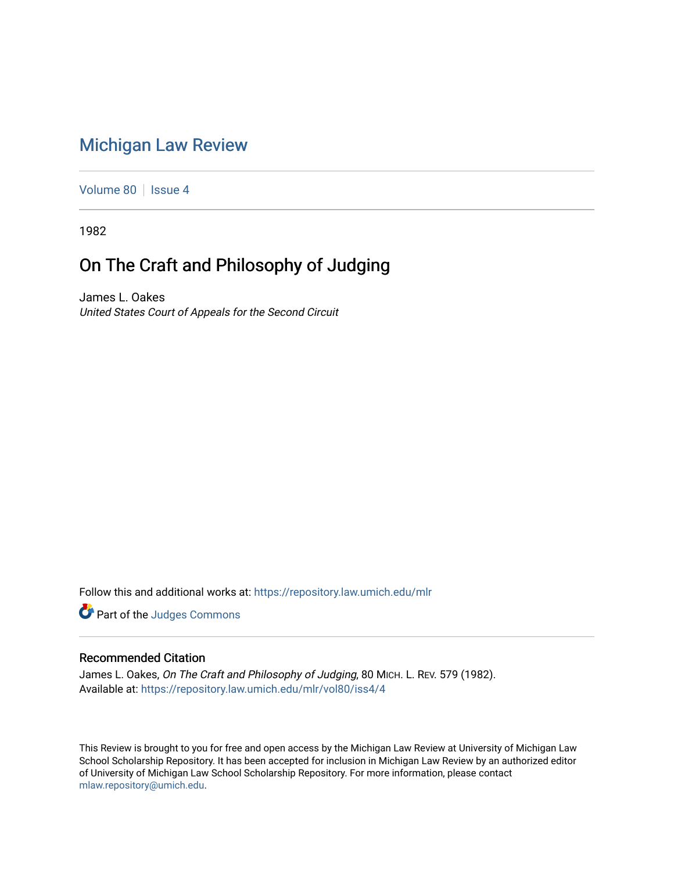## [Michigan Law Review](https://repository.law.umich.edu/mlr)

[Volume 80](https://repository.law.umich.edu/mlr/vol80) | [Issue 4](https://repository.law.umich.edu/mlr/vol80/iss4)

1982

# On The Craft and Philosophy of Judging

James L. Oakes United States Court of Appeals for the Second Circuit

Follow this and additional works at: [https://repository.law.umich.edu/mlr](https://repository.law.umich.edu/mlr?utm_source=repository.law.umich.edu%2Fmlr%2Fvol80%2Fiss4%2F4&utm_medium=PDF&utm_campaign=PDFCoverPages) 

**Part of the Judges Commons** 

### Recommended Citation

James L. Oakes, On The Craft and Philosophy of Judging, 80 MICH. L. REV. 579 (1982). Available at: [https://repository.law.umich.edu/mlr/vol80/iss4/4](https://repository.law.umich.edu/mlr/vol80/iss4/4?utm_source=repository.law.umich.edu%2Fmlr%2Fvol80%2Fiss4%2F4&utm_medium=PDF&utm_campaign=PDFCoverPages)

This Review is brought to you for free and open access by the Michigan Law Review at University of Michigan Law School Scholarship Repository. It has been accepted for inclusion in Michigan Law Review by an authorized editor of University of Michigan Law School Scholarship Repository. For more information, please contact [mlaw.repository@umich.edu.](mailto:mlaw.repository@umich.edu)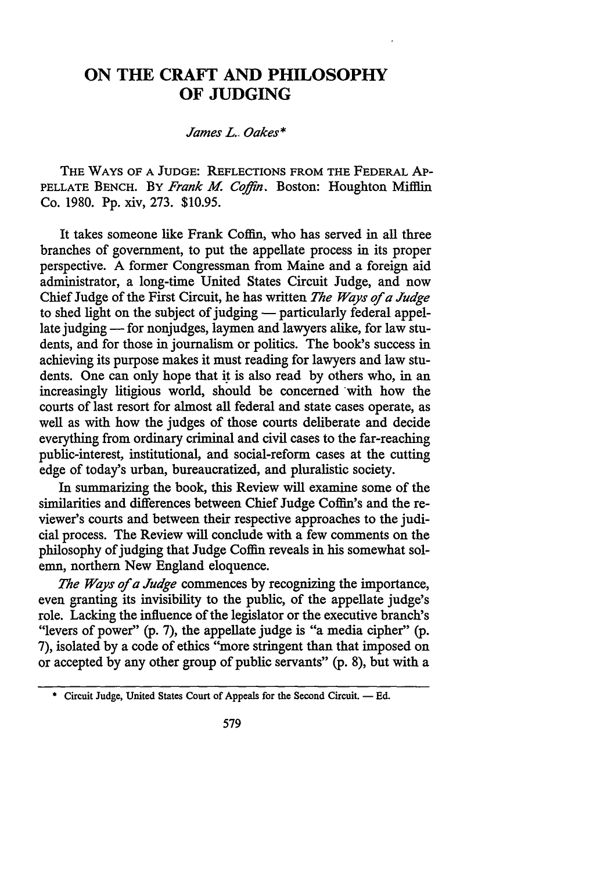### **ON THE CRAFT AND PHILOSOPHY OF JUDGING**

#### *James L .. Oakes\**

THE WAYS OF A JUDGE: REFLECTIONS FROM THE FEDERAL AP-PELLATE BENCH. BY *Frank M. Coffin.* Boston: Houghton Mifflin Co. 1980. Pp. xiv, 273. \$10.95.

It takes someone like Frank Coffin, who has served in all three branches of government, to put the appellate process in its proper perspective. A former Congressman from Maine and a foreign aid administrator, a long-time United States Circuit Judge, and now Chief Judge of the First Circuit, he has written *The Ways* of *a Judge*  to shed light on the subject of judging — particularly federal appellate judging — for nonjudges, laymen and lawyers alike, for law students, and for those in journalism or politics. The book's success in achieving its purpose makes it must reading for lawyers and law students. One can only hope that it is also read by others who, in an increasingly litigious world, should be concerned with how the courts of last resort for almost all federal and state cases operate, as well as with how the judges of those courts deliberate and decide everything from ordinary criminal and civil cases to the far-reaching public-interest, institutional, and social-reform cases at the cutting edge of today's urban, bureaucratized, and pluralistic society.

In summarizing the book, this Review will examine some of the similarities and differences between Chief Judge Coffin's and the reviewer's courts and between their respective approaches to the judicial process. The Review will conclude with a few comments on the philosophy of judging that Judge Coffin reveals in his somewhat solemn, northern New England eloquence.

*The Ways* of *a Judge* commences by recognizing the importance, even granting its invisibility to the public, of the appellate judge's role. Lacking the influence of the legislator or the executive branch's "levers of power'' (p. 7), the appellate judge is "a media cipher'' (p. 7), isolated by a code of ethics "more stringent than that imposed on or accepted by any other group of public servants" (p. 8), but with a

<sup>\*</sup> Circuit Judge, United States Court of Appeals for the Second Circuit. - Ed.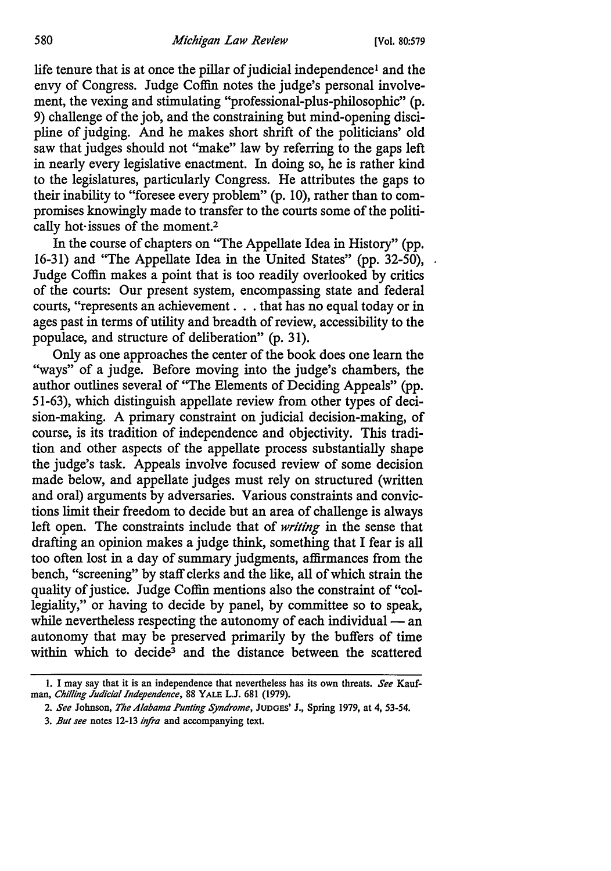life tenure that is at once the pillar of judicial independence<sup>1</sup> and the envy of Congress. Judge Coffin notes the judge's personal involvement, the vexing and stimulating "professional-plus-philosophic" (p. 9) challenge of the job, and the constraining but mind-opening discipline of judging. And he makes short shrift of the politicians' old saw that judges should not "make" law by referring to the gaps left in nearly every legislative enactment. In doing so, he is rather kind to the legislatures, particularly Congress. He attributes the gaps to their inability to "foresee every problem" (p. 10), rather than to compromises knowingly made to transfer to the courts some of the politically hot·issues of the moment.<sup>2</sup>

In the course of chapters on "The Appellate Idea in History" (pp. 16-31) and "The Appellate Idea in the United States" (pp. 32-50), Judge Coffin makes a point that is too readily overlooked by critics of the courts: Our present system, encompassing state and federal courts, "represents an achievement . . . that has no equal today or in ages past in terms of utility and breadth of review, accessibility to the populace, and structure of deliberation" (p. 31).

Only as one approaches the center of the book does one learn the "ways" of a judge. Before moving into the judge's chambers, the author outlines several of "The Elements of Deciding Appeals" (pp. 51-63), which distinguish appellate review from other types of decision-making. A primary constraint on judicial decision-making, of course, is its tradition of independence and objectivity. This tradition and other aspects of the appellate process substantially shape the judge's task. Appeals involve focused review of some decision made below, and appellate judges must rely on structured (written and oral) arguments by adversaries. Various constraints and convictions limit their freedom to decide but an area of challenge is always left open. The constraints include that of *writing* in the sense that drafting an opinion makes a judge think, something that I fear is all too often lost in a day of summary judgments, affirmances from the bench, "screening" by staff clerks and the like, all of which strain the quality of justice. Judge Coffin mentions also the constraint of "collegiality," or having to decide by panel, by committee so to speak, while nevertheless respecting the autonomy of each individual  $-$  an autonomy that may be preserved primarily by the buffers of time within which to decide<sup>3</sup> and the distance between the scattered

<sup>1.</sup> I may say that it is an independence that nevertheless has its own threats. *See* Kaufman, *Chilling Judicial Independence,* 88 YALE L.J. 681 (1979),

<sup>2.</sup> *See* Johnson, *The Alabama Punting Syndrome,* JUDGES' J., Spring 1979, at 4, 53-54.

<sup>3.</sup> *But see* notes 12-13 *infra* and accompanying text.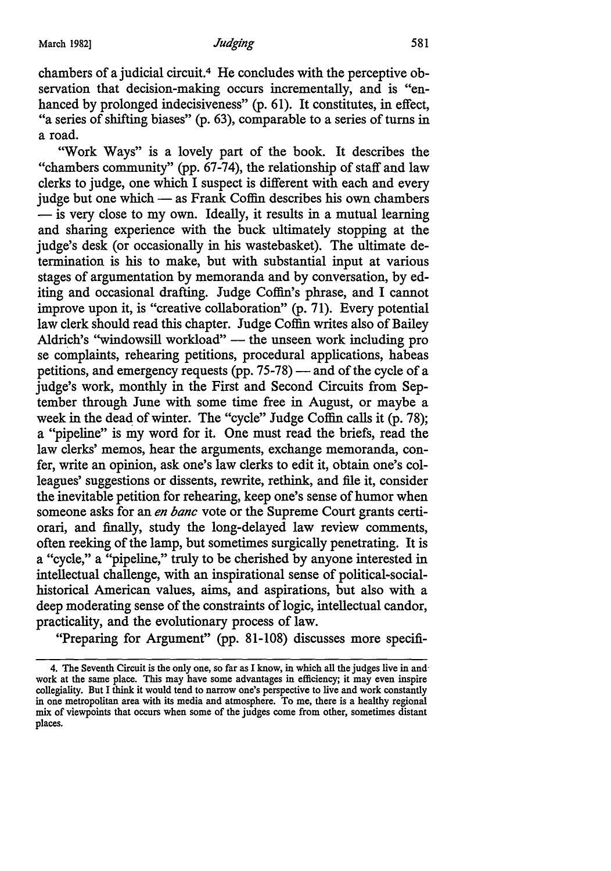chambers of a judicial circuit.4 He concludes with the perceptive observation that decision-making occurs incrementally, and is "enhanced by prolonged indecisiveness" (p. 61). It constitutes, in effect, "a series of shifting biases" (p. 63), comparable to a series of turns in a road.

"Work Ways" is a lovely part of the book. It describes the "chambers community" (pp. 67-74), the relationship of staff and law clerks to judge, one which I suspect is different with each and every judge but one which — as Frank Coffin describes his own chambers  $-$  is very close to my own. Ideally, it results in a mutual learning and sharing experience with the buck ultimately stopping at the judge's desk (or occasionally in his wastebasket). The ultimate determination is his to make, but with substantial input at various stages of argumentation by memoranda and by conversation, by editing and occasional drafting. Judge Coffin's phrase, and I cannot improve upon it, is "creative collaboration" (p. 71). Every potential law clerk should read this chapter. Judge Coffin writes also of Bailey Aldrich's "windowsill workload" - the unseen work including pro se complaints, rehearing petitions, procedural applications, habeas petitions, and emergency requests (pp. 75-78) — and of the cycle of a judge's work, monthly in the First and Second Circuits from September through June with some time free in August, or maybe a week in the dead of winter. The "cycle" Judge Coffin calls it (p. 78); a "pipeline" is my word for it. One must read the briefs, read the law clerks' memos, hear the arguments, exchange memoranda, confer, write an opinion, ask one's law clerks to edit it, obtain one's colleagues' suggestions or dissents, rewrite, rethink, and file it, consider the inevitable petition for rehearing, keep one's sense of humor when someone asks for an *en bane* vote or the Supreme Court grants certiorari, and finally, study the long-delayed law review comments, often reeking of the lamp, but sometimes surgically penetrating. It is a "cycle," a "pipeline," truly to be cherished by anyone interested in intellectual challenge, with an inspirational sense of political-socialhistorical American values, aims, and aspirations, but also with a deep moderating sense of the constraints of logic, intellectual candor, practicality, and the evolutionary process of law.

"Preparing for Argument" (pp. 81-108) discusses more specifi-

<sup>4.</sup> The Seventh Circuit is the only one, so far as I know, in which all the judges live in and· work at the same place. This may have some advantages in efficiency; it may even inspire collegiality. But I think it would tend to narrow one's perspective to live and work constantly in one metropolitan area with its media and atmosphere. To me, there is a healthy regional mix of viewpoints that occurs when some of the judges come from other, sometimes distant places.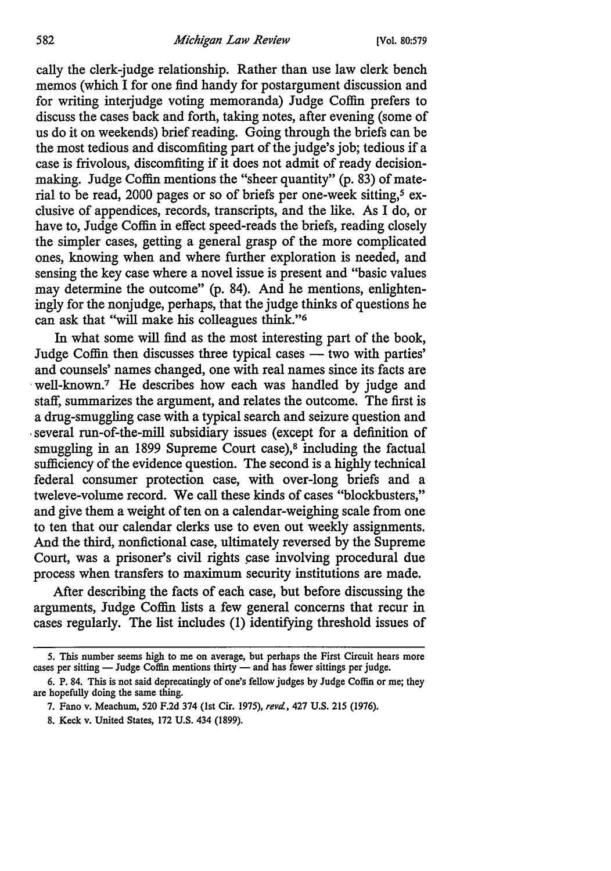cally the clerk-judge relationship. Rather than use law clerk bench memos (which I for one find handy for postargument discussion and for writing interjudge voting memoranda) Judge Coffin prefers to discuss the cases back and forth, taking notes, after evening (some of us do it on weekends) brief reading. Going through the briefs can be the most tedious and discomfiting part of the judge's job; tedious if a case is frivolous, discomfiting if it does not admit of ready decisionmaking. Judge Coffin mentions the "sheer quantity" (p. 83) of material to be read, 2000 pages or so of briefs per one-week sitting,<sup>5</sup> exclusive of appendices, records, transcripts, and the like. As I do, or have to, Judge Coffin in effect speed-reads the briefs, reading closely the simpler cases, getting a general grasp of the more complicated ones, knowing when and where further exploration is needed, and sensing the key case where a novel issue is present and "basic values may determine the outcome" (p. 84). And he mentions, enlighteningly for the nonjudge, perhaps, that the judge thinks of questions he can ask that ''will make his colleagues think."<sup>6</sup>

In what some will find as the most interesting part of the book, Judge Coffin then discusses three typical cases  $-$  two with parties' and counsels' names changed, one with real names since its facts are well-known.<sup>7</sup> He describes how each was handled by judge and staff, summarizes the argument, and relates the outcome. The first is a drug-smuggling case with a typical search and seizure question and . several run-of-the-mill subsidiary issues (except for a definition of smuggling in an 1899 Supreme Court case),<sup>8</sup> including the factual sufficiency of the evidence question. The second is a highly technical federal consumer protection case, with over-long briefs and a tweleve-volume record. We call these kinds of cases "blockbusters," and give them a weight of ten on a calendar-weighing scale from one to ten that our calendar clerks use to even out weekly assignments. And the third, nonfictional case, ultimately reversed by the Supreme Court, was a prisoner's civil rights case involving procedural due process when transfers to maximum security institutions are made.

After describing the facts of each case, but before discussing the arguments, Judge Coffin lists a few general concerns that recur in cases regularly. The list includes (1) identifying threshold issues of

<sup>5.</sup> This number seems high to me on average, but perhaps the First Circuit hears more cases per sitting  $-$  Judge Coffin mentions thirty  $-$  and has fewer sittings per judge.

<sup>6.</sup> P. 84. This is not said deprecatingly of one's fellow judges by Judge Coffin or me; they are hopefully doing the same thing.

<sup>7.</sup> Fano v. Meachum, 520 F.2d 374 (1st Cir. 1975), *revtl.,* 427 U.S. 215 (1976).

<sup>8.</sup> Keck v. United States, 172 U.S. 434 (1899).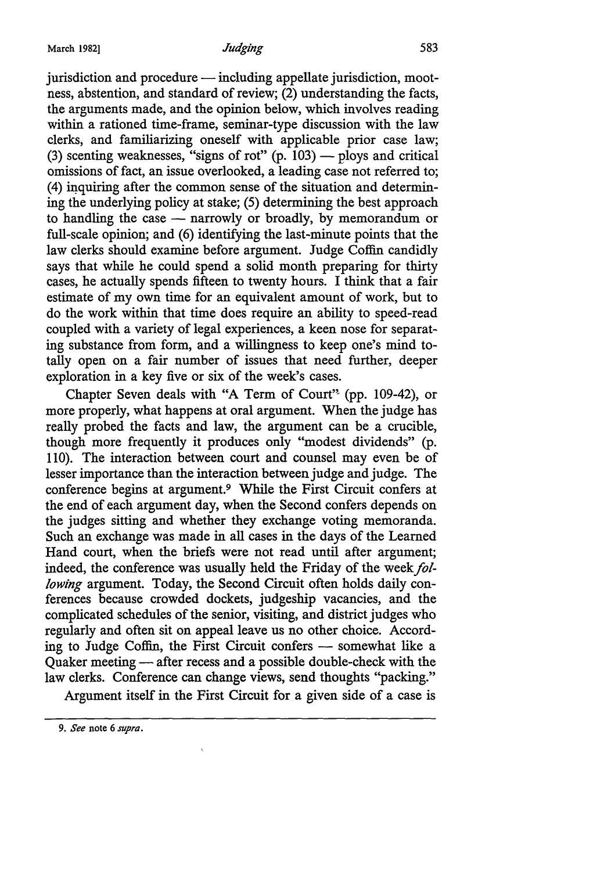March 1982) *Judging* 583

jurisdiction and procedure — including appellate jurisdiction, mootness, abstention, and standard of review; (2) understanding the facts, the arguments made, and the opinion below, which involves reading within a rationed time-frame, seminar-type discussion with the law clerks, and familiarizing oneself with applicable prior case law; (3) scenting weaknesses, "signs of rot"  $(p. 103)$  — ploys and critical omissions of fact, an issue overlooked, a leading case not referred to; (4) inquiring after the common sense of the situation and determining the underlying policy at stake; (5) determining the best approach to handling the case - narrowly or broadly, by memorandum or full-scale opinion; and (6) identifying the last-minute points that the law clerks should examine before argument. Judge Coffin candidly says that while he could spend a solid month preparing for thirty cases, he actually spends fifteen to twenty hours. I think that a fair estimate of my own time for an equivalent amount of work, but to do the work within that time does require an ability to speed-read coupled with a variety of legal experiences, a keen nose for separating substance from form, and a willingness to keep one's mind totally open on a fair number of issues that need further, deeper exploration in a key five or six of the week's cases.

Chapter Seven deals with "A Term of Court" (pp. 109-42), or more properly, what happens at oral argument. When the judge has really probed the facts and law, the argument can be a crucible, though more frequently it produces only "modest dividends" (p. 110). The interaction between court and counsel may even be of lesser importance than the interaction between judge and judge. The conference begins at argument.9 While the First Circuit confers at the end of each argument day, when the Second confers depends on the judges sitting and whether they exchange voting memoranda. Such an exchange was made in all cases in the days of the Learned Hand court, when the briefs were not read until after argument; indeed, the conference was usually held the Friday of the week *following* argument. Today, the Second Circuit often holds daily conferences because crowded dockets, judgeship vacancies, and the complicated schedules of the senior, visiting, and district judges who regularly and often sit on appeal leave us no other choice. According to Judge Coffin, the First Circuit confers - somewhat like a Quaker meeting - after recess and a possible double-check with the law clerks. Conference can change views, send thoughts "packing."

Argument itself in the First Circuit for a given side of a case is

<sup>9.</sup> *See* note 6 *supra.*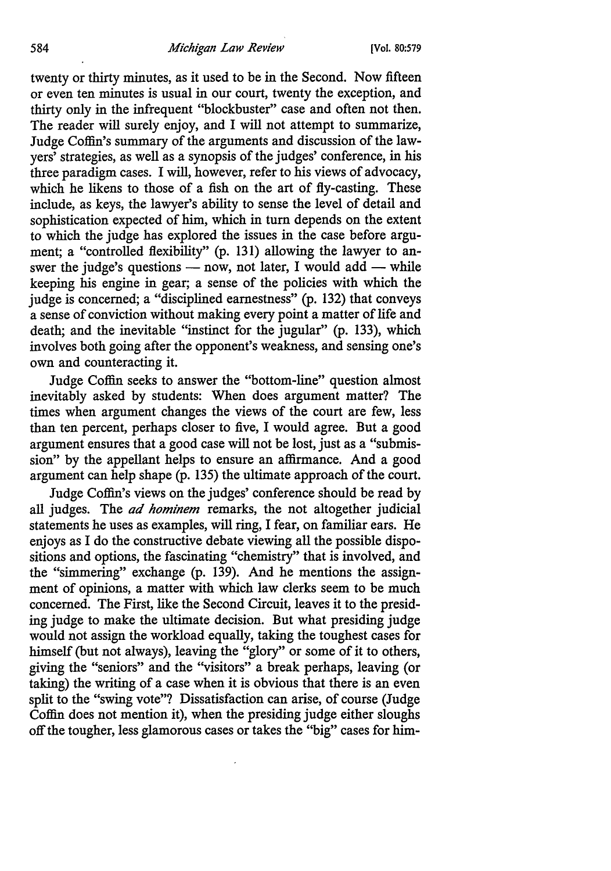twenty or thirty minutes, as it used to be in the Second. Now fifteen or even ten minutes is usual in our court, twenty the exception, and thirty only in the infrequent "blockbuster" case and often not then. The reader will surely enjoy, and I will not attempt to summarize, Judge Coffin's summary of the arguments and discussion of the lawyers' strategies, as well as a synopsis of the judges' conference, in his three paradigm cases. I will, however, refer to his views of advocacy, which he likens to those of a fish on the art of fly-casting. These include, as keys, the lawyer's ability to sense the level of detail and sophistication expected of him, which in tum depends on the extent to which the judge has explored the issues in the case before argument; a "controlled flexibility" (p. 131) allowing the lawyer to answer the judge's questions  $-$  now, not later, I would add  $-$  while keeping his engine in gear; a sense of the policies with which the judge is concerned; a "disciplined earnestness" (p. 132) that conveys a sense of conviction without making every point a matter of life and death; and the inevitable "instinct for the jugular" (p. 133), which involves both going after the opponent's weakness, and sensing one's own and counteracting it.

Judge Coffin seeks to answer the "bottom-line" question almost inevitably asked by students: When does argument matter? The times when argument changes the views of the court are few, less than ten percent, perhaps closer to five, I would agree. But a good argument ensures that a good case will not be lost, just as a "submission" by the appellant helps to ensure an affirmance. And a good argument can help shape (p. 135) the ultimate approach of the court.

Judge Coffin's views on the judges' conference should be read by all judges. The *ad hominem* remarks, the not altogether judicial statements he uses as examples, will ring, I fear, on familiar ears. He enjoys as I do the constructive debate viewing all the possible dispositions and options, the fascinating "chemistry" that is involved, and the "simmering" exchange (p. 139). And he mentions the assignment of opinions, a matter with which law clerks seem to be much concerned. The First, like the Second Circuit, leaves it to the presiding judge to make the ultimate decision. But what presiding judge would not assign the workload equally, taking the toughest cases for himself (but not always), leaving the "glory" or some of it to others, giving the "seniors" and the "visitors" a break perhaps, leaving (or taking) the writing of a case when it is obvious that there is an even split to the "swing vote"? Dissatisfaction can arise, of course (Judge Coffin does not mention it), when the presiding judge either sloughs off the tougher, less glamorous cases or takes the "big" cases for him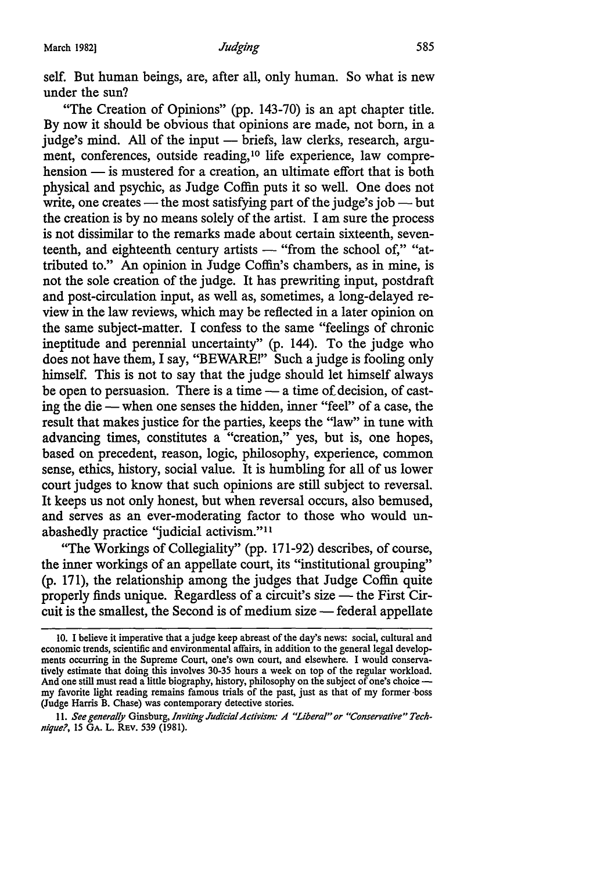self. But human beings, are, after all, only human. So what is new under the sun?

"The Creation of Opinions" (pp. 143-70) is an apt chapter title. By now it should be obvious that opinions are made, not born, in a judge's mind. All of the input — briefs, law clerks, research, argument, conferences, outside reading,<sup>10</sup> life experience, law comprehension — is mustered for a creation, an ultimate effort that is both physical and psychic, as Judge Coffin puts it so well. One does not write, one creates  $-$  the most satisfying part of the judge's job  $-$  but the creation is by no means solely of the artist. I am sure the process is not dissimilar to the remarks made about certain sixteenth, seventeenth, and eighteenth century artists  $-$  "from the school of," "attributed to." An opinion in Judge Coffin's chambers, as in mine, is not the sole creation of the judge. It has prewriting input, postdraft and post-circulation input, as well as, sometimes, a long-delayed review in the law reviews, which may be reflected in a later opinion on the same subject-matter. I confess to the same "feelings of chronic ineptitude and perennial uncertainty" (p. 144). To the judge who does not have them, I say, "BEWARE!" Such a judge is fooling only himself. This is not to say that the judge should let himself always be open to persuasion. There is a time  $-$  a time of decision, of casting the die - when one senses the hidden, inner "feel" of a case, the result that makes justice for the parties, keeps the "law" in tune with advancing times, constitutes a "creation," yes, but is, one hopes, based on precedent, reason, logic, philosophy, experience, common sense, ethics, history, social value. It is humbling for all of us lower court judges to know that such opinions are still subject to reversal. It keeps us not only honest, but when reversal occurs, also bemused, and serves as an ever-moderating factor to those who would unabashedly practice "judicial activism."<sup>11</sup>

"The Workings of Collegiality" (pp. 171-92) describes, of course, the inner workings of an appellate court, its "institutional grouping" (p. 171), the relationship among the judges that Judge Coffin quite properly finds unique. Regardless of a circuit's size - the First Circuit is the smallest, the Second is of medium size — federal appellate

<sup>10.</sup> I believe it imperative that a judge keep abreast of the day's news: social, cultural and economic trends, scientific and environmental affairs, in addition to the general legal developments occurring in the Supreme Court, one's own court, and elsewhere. I would conservatively estimate that doing this involves 30-35 hours a week on top of the regular workload. And one still must read a little biography, history, philosophy on the subject of one's choice my favorite light reading remains famous trials of the past, just as that of my former -boss (Judge Harris B. Chase) was contemporary detective stories.

<sup>11.</sup> *See generally* Ginsburg, *Inviting Judicial Activism: A "Liberal" or "Conservative" Technique?,* 15 GA. L. REV. 539 (1981).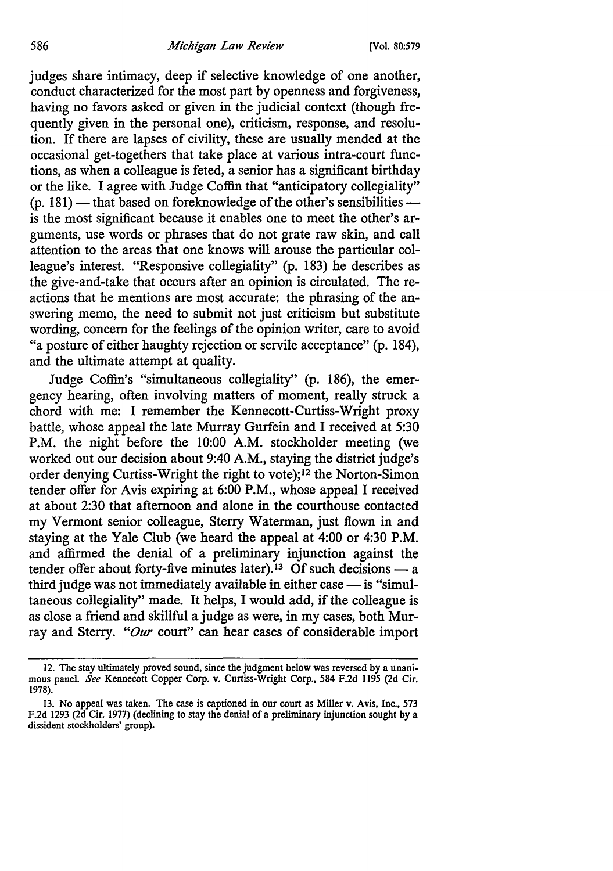judges share intimacy, deep if selective knowledge of one another, conduct characterized for the most part by openness and forgiveness, having no favors asked or given in the judicial context (though frequently given in the personal one), criticism, response, and resolution. If there are lapses of civility, these are usually mended at the occasional get-togethers that take place at various intra-court functions, as when a colleague is feted, a senior has a significant birthday or the like. I agree with Judge Coffin that "anticipatory collegiality"  $(p. 181)$  — that based on foreknowledge of the other's sensibilities is the most significant because it enables one to meet the other's arguments, use words or phrases that do not grate raw skin, and call attention to the areas that one knows will arouse the particular colleague's interest. "Responsive collegiality" (p. 183) he describes as the give-and-take that occurs after an opinion is circulated. The reactions that he mentions are most accurate: the phrasing of the answering memo, the need to submit not just criticism but substitute wording, concern for the feelings of the opinion writer, care to avoid "a posture of either haughty rejection or servile acceptance" (p. 184), and the ultimate attempt at quality.

Judge Coffin's "simultaneous collegiality" (p. 186), the emergency hearing, often involving matters of moment, really struck a chord with me: I remember the Kennecott-Curtiss-Wright proxy battle, whose appeal the late Murray Gurfein and I received at 5:30 P.M. the night before the 10:00 A.M. stockholder meeting (we worked out our decision about 9:40 A.M., staying the district judge's order denying Curtiss-Wright the right to vote);  $12$  the Norton-Simon tender offer for Avis expiring at 6:00 **P.M.,** whose appeal I received at about 2:30 that afternoon and alone in the courthouse contacted my Vermont senior colleague, Sterry Waterman, just flown in and staying at the Yale Club (we heard the appeal at 4:00 or 4:30 P.M. and affirmed the denial of a preliminary injunction against the tender offer about forty-five minutes later).<sup>13</sup> Of such decisions  $-$  a third judge was not immediately available in either case  $-$  is "simultaneous collegiality" made. It helps, I would add, if the colleague is as close a friend and skillful a judge as were, in my cases, both Murray and Sterry. *"Our* court" can hear cases of considerable import

<sup>12.</sup> The stay ultimately proved sound, since the judgment below was reversed by a unanimous panel. *See* Kennecott Copper Corp. v. Curtiss-Wright Corp., 584 F.2d 1195 (2d Cir. 1978).

<sup>13.</sup> No appeal was taken. The case is captioned in our court as Miller v. Avis, Inc., 573 F.2d 1293 (2d Cir. 1977) (declining to stay the denial of a preliminary injunction sought by a dissident stockholders' group).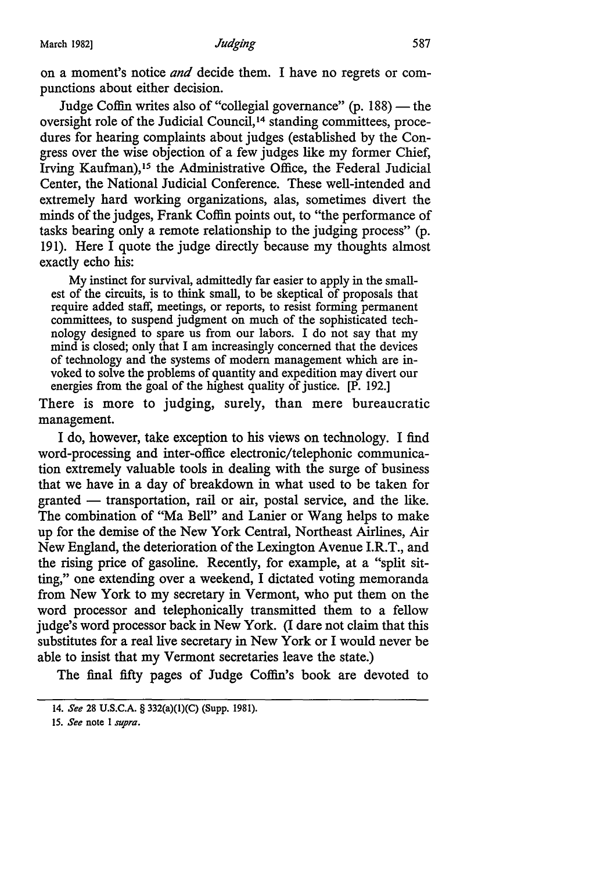on a moment's notice *and* decide them. I have no regrets or compunctions about either decision.

Judge Coffin writes also of "collegial governance"  $(p. 188)$  — the oversight role of the Judicial Council, 14 standing committees, procedures for hearing complaints about judges (established by the Congress over the wise objection of a few judges like my former Chief, Irving Kaufman), 15 the Administrative Office, the Federal Judicial Center, the National Judicial Conference. These well-intended and extremely hard working organizations, alas, sometimes divert the minds of the judges, Frank Coffin points out, to "the performance of tasks bearing only a remote relationship to the judging process" (p. 191). Here I quote the judge directly because my thoughts almost exactly echo his:

My instinct for survival, admittedly far easier to apply in the smallest of the circuits, is to think small, to be skeptical of proposals that require added staff, meetings, or reports, to resist forming permanent committees, to suspend judgment on much of the sophisticated technology designed to spare us from our labors. I do not say that my mind is closed; only that I am increasingly concerned that the devices of technology and the systems of modem management which are invoked to solve the problems of quantity and expedition may divert our energies from the goal of the highest quality of justice. [P. 192.]

There is more to judging, surely, than mere bureaucratic management.

I do, however, take exception to his views on technology. I find word-processing and inter-office electronic/telephonic communication extremely valuable tools in dealing with the surge of business that we have in a day of breakdown in what used to be taken for granted  $-$  transportation, rail or air, postal service, and the like. The combination of "Ma Bell" and Lanier or Wang helps to make up for the demise of the New York Central, Northeast Airlines, Air New England, the deterioration of the Lexington Avenue I.R.T., and the rising price of gasoline. Recently, for example, at a "split sitting," one extending over a weekend, I dictated voting memoranda from New York to my secretary in Vermont, who put them on the word processor and telephonically transmitted them to a fellow judge's word processor back in New York. (I dare not claim that this substitutes for a real live secretary in New York or I would never be able to insist that my Vermont secretaries leave the state.)

The final fifty pages of Judge Coffin's book are devoted to

<sup>14.</sup> *See* 28 U.S.C.A. § 332(a)(l)(C) (Supp. 1981).

<sup>15.</sup> *See* note 1 *supra.*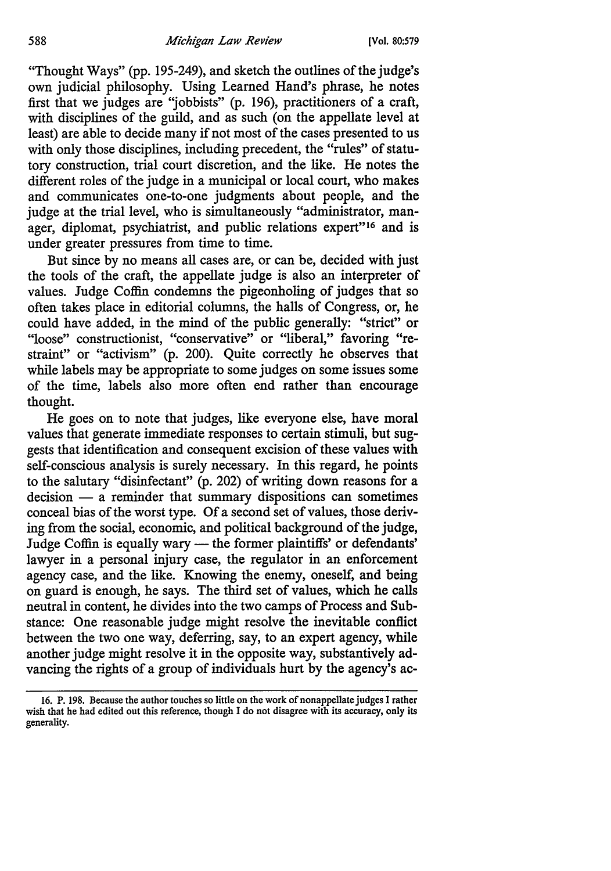"Thought Ways" (pp. 195-249), and sketch the outlines of the judge's own judicial philosophy. Using Learned Hand's phrase, he notes first that we judges are 'jobbists" (p. 196), practitioners of a craft, with disciplines of the guild, and as such (on the appellate level at least) are able to decide many if not most of the cases presented to us with only those disciplines, including precedent, the "rules" of statutory construction, trial court discretion, and the like. He notes the different roles of the judge in a municipal or local court, who makes and communicates one-to-one judgments about people, and the judge at the trial level, who is simultaneously "administrator, manager, diplomat, psychiatrist, and public relations expert"<sup>16</sup> and is under greater pressures from time to time.

But since by no means all cases are, or can be, decided with just the tools of the craft, the appellate judge is also an interpreter of values. Judge Coffin condemns the pigeonholing of judges that so often takes place in editorial columns, the halls of Congress, or, he could have added, in the mind of the public generally: "strict" or "loose" constructionist, "conservative" or "liberal," favoring "restraint" or "activism" (p. 200). Quite correctly he observes that while labels may be appropriate to some judges on some issues some of the time, labels also more often end rather than encourage thought.

He goes on to note that judges, like everyone else, have moral values that generate immediate responses to certain stimuli, but suggests that identification and consequent excision of these values with self-conscious analysis is surely necessary. In this regard, he points to the salutary "disinfectant" (p. 202) of writing down reasons for a  $decision - a$  reminder that summary dispositions can sometimes conceal bias of the worst type. Of a second set of values, those deriving from the social, economic, and political background of the judge, Judge Coffin is equally wary - the former plaintiffs' or defendants' lawyer in a personal injury case, the regulator in an enforcement agency case, and the like. Knowing the enemy, oneself, and being on guard is enough, he says. The third set of values, which he calls neutral in content, he divides into the two camps of Process and Substance: One reasonable judge might resolve the inevitable conflict between the two one way, deferring, say, to an expert agency, while another judge might resolve it in the opposite way, substantively advancing the rights of a group of individuals hurt by the agency's ac-

<sup>16.</sup> P. 198. Because the author touches so little on the work of nonappellate judges I rather wish that he had edited out this reference, though I do not disagree with its accuracy, only its generality.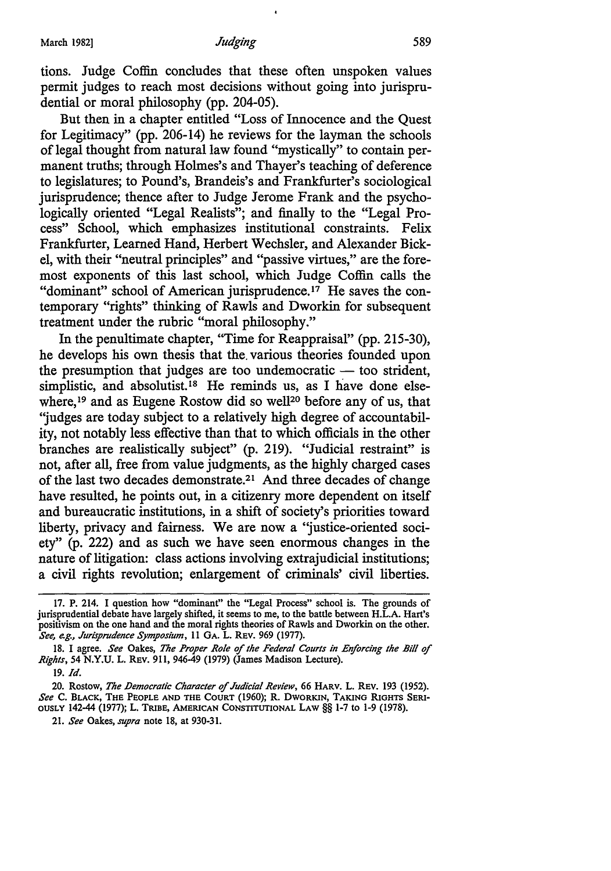tions. Judge Coffin concludes that these often unspoken values permit judges to reach most decisions without going into jurisprudential or moral philosophy (pp. 204-05).

But then in a chapter entitled "Loss of Innocence and the Quest for Legitimacy" (pp. 206-14) he reviews for the layman the schools of legal thought from natural law found "mystically" to contain permanent truths; through Holmes's and Thayer's teaching of deference to legislatures; to Pound's, Brandeis's and Frankfurter's sociological jurisprudence; thence after to Judge Jerome Frank and the psychologically oriented "Legal Realists"; and finally to the "Legal Process" School, which emphasizes institutional constraints. Felix Frankfurter, Learned Hand, Herbert Wechsler, and Alexander Bickel, with their "neutral principles" and "passive virtues," are the foremost exponents of this last school, which Judge Coffin calls the "dominant" school of American jurisprudence.<sup>17</sup> He saves the contemporary "rights" thinking of Rawls and Dworkin for subsequent treatment under the rubric "moral philosophy."

In the penultimate chapter, "Time for Reappraisal" (pp. 215-30), he develops his own thesis that the. various theories founded upon the presumption that judges are too undemocratic  $-$  too strident, simplistic, and absolutist.<sup>18</sup> He reminds us, as I have done elsewhere, <sup>19</sup> and as Eugene Rostow did so well<sup>20</sup> before any of us, that 'judges are today subject to a relatively high degree of accountability, not notably less effective than that to which officials in the other branches are realistically subject" (p. 219). "Judicial restraint" is not, after all, free from value judgments, as the highly charged cases of the last two decades demonstrate.<sup>21</sup> And three decades of change have resulted, he points out, in a citizenry more dependent on itself and bureaucratic institutions, in a shift of society's priorities toward liberty, privacy and fairness. We are now a 'justice-oriented society" (p. 222) and as such we have seen enormous changes in the nature of litigation: class actions involving extrajudicial institutions; a civil rights revolution; enlargement of criminals' civil liberties.

20. Rostow, *The Democratic Character of Judicial Review*, 66 HARV. L. REV. 193 (1952). *See* C. BLACK, THE PEOPLE AND THE COURT (1960); R. DWORKIN, TAKING RIGHTS SERI-OUSLY 142-44 (1977); L. TRIBE, AMERICAN CONSTITUTIONAL LAW§§ 1-7 to 1-9 (1978).

<sup>17.</sup> P. 214. I question how "dominant" the "Legal Process" school is. The grounds of jurisprudential debate have largely shifted, it seems to me, to the battle between H.L.A. Hart's positivism on the one hand and the moral rights theories of Rawls and Dworkin on the other. *See, e.g., Jurisprudence Symposium,* 11 GA. L. REV. 969 (1977).

<sup>18.</sup> I agree. *See* Oakes, *The Proper Role* of *the Federal Courts in Enforcing the Bill* of *Rights,* 54 N.Y.U. L. REV. 911, 946-49 (1979) (James Madison Lecture).

<sup>19.</sup> *Id.* 

<sup>21.</sup> *See* Oakes, *supra* note 18, at 930-31.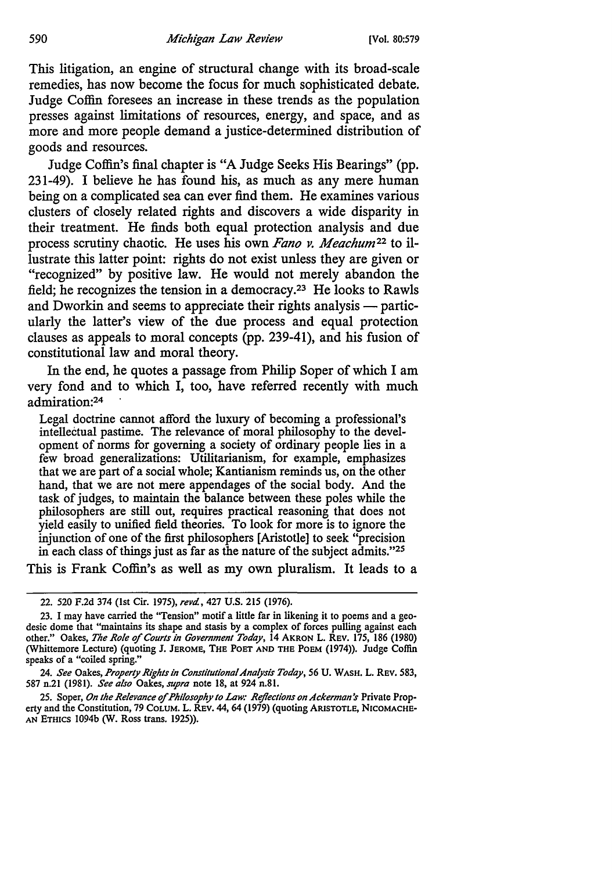This litigation, an engine of structural change with its broad-scale remedies, has now become the focus for much sophisticated debate. Judge Coffin foresees an increase in these trends as the population presses against limitations of resources, energy, and space, and as more and more people demand a justice-determined distribution of goods and resources.

Judge Coffin's final chapter is "A Judge Seeks His Bearings" (pp. 231-49). I believe he has found his, as much as any mere human being on a complicated sea can ever find them. He examines various clusters of closely related rights and discovers a wide disparity in their treatment. He finds both equal protection analysis and due process scrutiny chaotic. He uses his own *Fano v. Meachum*<sup>22</sup> to illustrate this latter point: rights do not exist unless they are given or "recognized" by positive law. He would not merely abandon the field; he recognizes the tension in a democracy.23 He looks to Rawls and Dworkin and seems to appreciate their rights analysis — particularly the latter's view of the due process and equal protection clauses as appeals to moral concepts (pp. 239-41), and his fusion of constitutional law and moral theory.

In the end, he quotes a passage from Philip Soper of which I am very fond and to which I, too, have referred recently with much admiration:24

Legal doctrine cannot afford the luxury of becoming a professional's intellectual pastime. The relevance of moral philosophy to the development of norms for governing a society of ordinary people lies in a few broad generalizations: Utilitarianism, for example, emphasizes that we are part of a social whole; Kantianism reminds us, on the other hand, that we are not mere appendages of the social body. And the task of judges, to maintain the balance between these poles while the philosophers are still out, requires practical reasoning that does not yield easily to unified field theories. To look for more is to ignore the injunction of one of the first philosophers [Aristotle] to seek "precision in each class of things just as far as the nature of the subject admits."25

This is Frank Coffin's as well as my own pluralism. It leads to a

<sup>22. 520</sup> F.2d 374 (1st Cir. 1975), *revd,* 427 U.S. 215 (1976).

<sup>23.</sup> I may have carried the ''Tension" motif a little far in likening it to poems and a geodesic dome that "maintains its shape and stasis by a complex of forces pulling against each other." Oakes, *The Role* of *Courts in Government Today,* 14 AKRON L. REV. 175, 186 (1980) (Whittemore Lecture) (quoting J. JEROME, THE POET AND THE POEM (1974)). Judge Coffin speaks of a "coiled spring."

<sup>24.</sup> *See* Oakes, *Property Rights in Constitutional Analysis Today, 56* U. WASH. L. REV, 583, 587 n.21 (1981). *See also* Oakes, *supra* note 18, at 924 n.81.

<sup>25.</sup> Soper, *On the Relevance* of *Philosophy to Law: Reflections on Ackerman's* Private Property and the Constitution, 79 COLUM. L. REV. 44, 64 (1979) (quoting ARISTOTLE, NICOMACHE• AN ETHICS 1094b (W. Ross trans. 1925)).